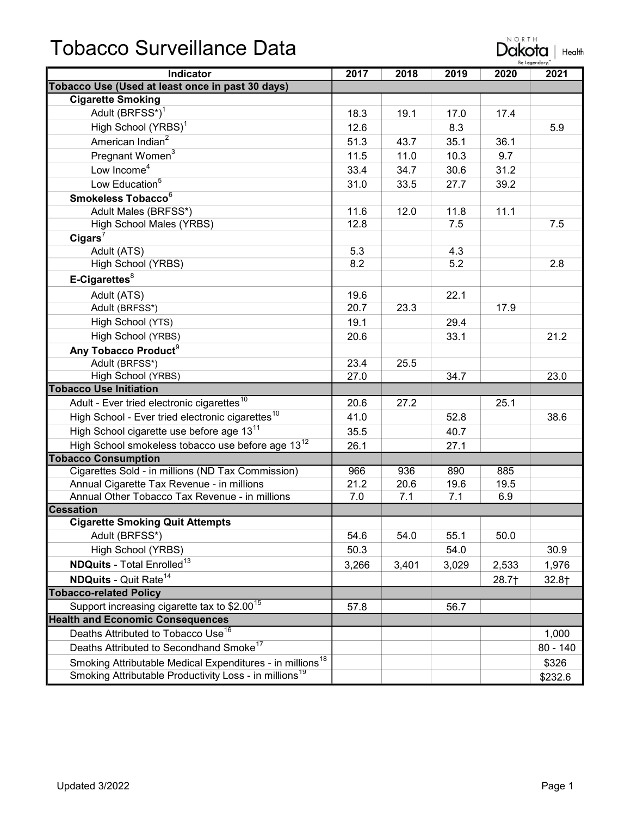## Tobacco Surveillance Data

| pbacco Surveillance Data                                      |      |      |      | NORTH<br>akota<br>Health<br>Be Leaendary |      |  |
|---------------------------------------------------------------|------|------|------|------------------------------------------|------|--|
| <b>Indicator</b>                                              | 2017 | 2018 | 2019 | 2020                                     | 2021 |  |
| acco Use (Used at least once in past 30 days)                 |      |      |      |                                          |      |  |
| <b>Cigarette Smoking</b>                                      |      |      |      |                                          |      |  |
| Adult (BRFSS*) <sup>1</sup>                                   | 18.3 | 19.1 | 17.0 | 17.4                                     |      |  |
| High School (YRBS) <sup>1</sup>                               | 12.6 |      | 8.3  |                                          | 5.9  |  |
| American Indian <sup>2</sup>                                  | 51.3 | 43.7 | 35.1 | 36.1                                     |      |  |
| Pregnant Women <sup>3</sup>                                   | 11.5 | 11.0 | 10.3 | 9.7                                      |      |  |
| Low Income <sup>4</sup>                                       | 33.4 | 34.7 | 30.6 | 31.2                                     |      |  |
| Low Education <sup>5</sup>                                    | 31.0 | 33.5 | 27.7 | 39.2                                     |      |  |
| Smokeless Tobacco <sup>6</sup>                                |      |      |      |                                          |      |  |
| Adult Males (BRFSS*)                                          | 11.6 | 12.0 | 11.8 | 11.1                                     |      |  |
| High School Males (YRBS)                                      | 12.8 |      | 7.5  |                                          | 7.5  |  |
| $Cigars^7$                                                    |      |      |      |                                          |      |  |
| Adult (ATS)                                                   | 5.3  |      | 4.3  |                                          |      |  |
| High School (YRBS)                                            | 8.2  |      | 5.2  |                                          | 2.8  |  |
| $E-Cigareftes8$                                               |      |      |      |                                          |      |  |
| Adult (ATS)                                                   | 19.6 |      | 22.1 |                                          |      |  |
| Adult (BRFSS*)                                                | 20.7 | 23.3 |      | 17.9                                     |      |  |
| High School (YTS)                                             | 19.1 |      | 29.4 |                                          |      |  |
| High School (YRBS)                                            | 20.6 |      | 33.1 |                                          | 21.2 |  |
| Any Tobacco Product <sup>9</sup>                              |      |      |      |                                          |      |  |
| Adult (BRFSS*)                                                | 23.4 | 25.5 |      |                                          |      |  |
| High School (YRBS)                                            | 27.0 |      | 34.7 |                                          | 23.0 |  |
| acco Use Initiation                                           |      |      |      |                                          |      |  |
| Adult - Ever tried electronic cigarettes <sup>10</sup>        | 20.6 | 27.2 |      | 25.1                                     |      |  |
| High School - Ever tried electronic cigarettes <sup>10</sup>  | 41.0 |      | 52.8 |                                          | 38.6 |  |
| High School cigarette use before age 13 <sup>11</sup>         | 35.5 |      | 40.7 |                                          |      |  |
| High School smokeless tobacco use before age 13 <sup>12</sup> | 26.1 |      | 27.1 |                                          |      |  |
| acco Consumption                                              |      |      |      |                                          |      |  |
| Cigarettes Sold - in millions (ND Tax Commission)             | 966  | 936  | 890  | 885                                      |      |  |
| Annual Cigarette Tax Revenue - in millions                    | 21.2 | 20.6 | 19.6 | 19.5                                     |      |  |
| Annual Other Tobacco Tax Revenue - in millions                | 7.0  | 7.1  | 7.1  | 6.9                                      |      |  |
| sation                                                        |      |      |      |                                          |      |  |
| <b>Cigarette Smoking Quit Attempts</b>                        |      |      |      |                                          |      |  |
| Adult (BRFSS*)                                                | 54.6 | 54.0 | 55.1 | 50.0                                     |      |  |
| High School (YRBS)                                            | 50.3 |      | 54.0 |                                          | 30.9 |  |

**Cessation** Cigar Adult (BRFSS\*) 65.1 54.6 54.0 55.1 50.0 High School (YRBS) 50.3 54.0 54.0 30.9 **NDQuits** - Total Enrolled<sup>13</sup> 2,533 1,976 **NDQuits** - Quit Rate<sup>14</sup> 28.7† 32.8† Tobacco-related Policy Support increasing cigarette tax to \$2.00<sup>15</sup> 57.8 56.7 Health and Economic Consequences Deaths Attributed to Tobacco Use<sup>16</sup> 1,000 Deaths Attributed to Secondhand Smoke<sup>17</sup> 80 - 140 Smoking Attributable Medical Expenditures - in millions<sup>18</sup> | The Contract of the S326 \$326 Smoking Attributable Productivity Loss - in millions<sup>19</sup> **Example 2018** \$232.6

**Tobacco** 

Tobacco

**Tobacco**